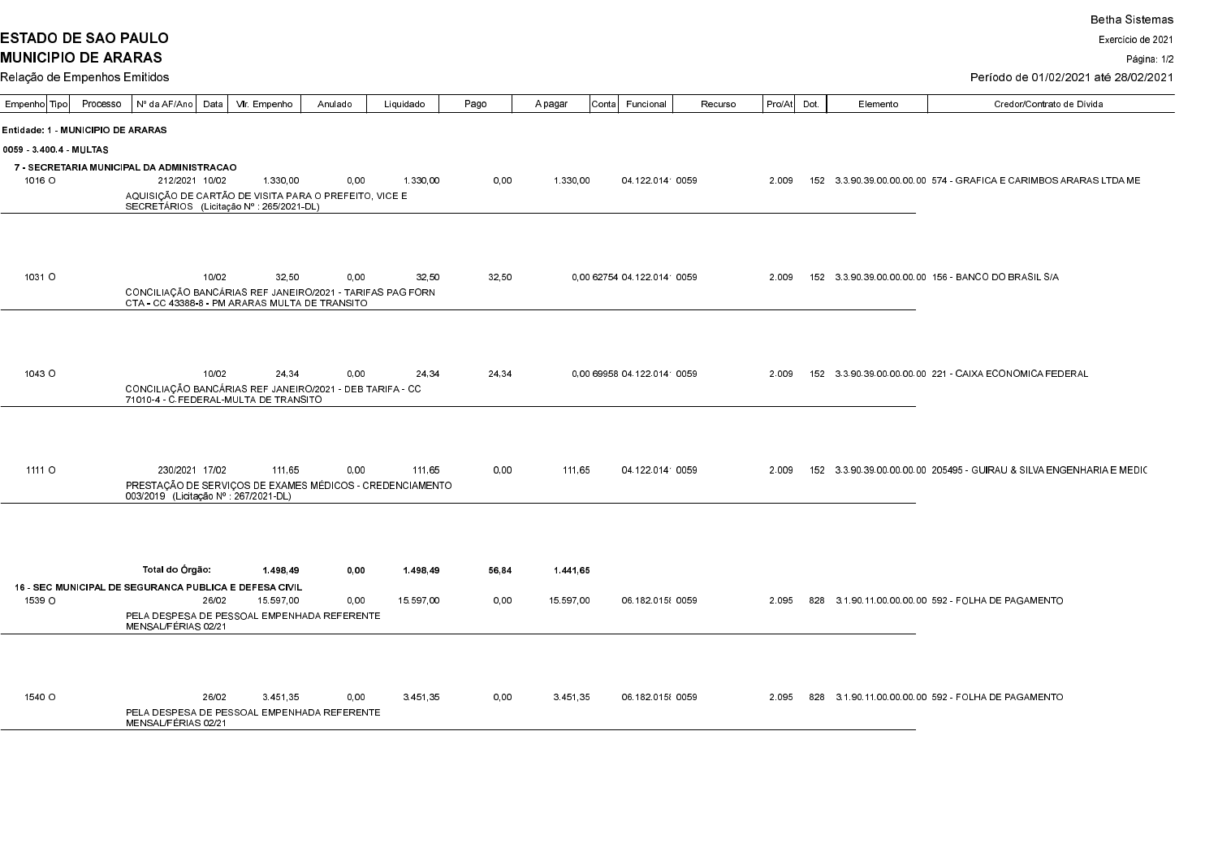**ESTADO DE SAO PAULO** 

Exercício de 2021

Página: 1/2

Período de 01/02/2021 até 28/02/2021

| Empenho Tipo                                                  | Processo | Nº da AF/Ano                                                                                                | Data  | Vir. Empenho |        | Anulado | Liquidado | Pago  | A pagar |           | Conta <br>Funcional         | Recurso | Pro/At | Dot. | Elemento | Credor/Contrato de Dívida                                                   |
|---------------------------------------------------------------|----------|-------------------------------------------------------------------------------------------------------------|-------|--------------|--------|---------|-----------|-------|---------|-----------|-----------------------------|---------|--------|------|----------|-----------------------------------------------------------------------------|
| Entidade: 1 - MUNICIPIO DE ARARAS                             |          |                                                                                                             |       |              |        |         |           |       |         |           |                             |         |        |      |          |                                                                             |
| 0059 34004 MULTAS                                             |          |                                                                                                             |       |              |        |         |           |       |         |           |                             |         |        |      |          |                                                                             |
| 7 - SECRETARIA MUNICIPAL DA ADMINISTRACAO                     |          |                                                                                                             |       |              |        |         |           |       |         |           |                             |         |        |      |          |                                                                             |
| 1016 O                                                        |          | 212/2021 10/02                                                                                              |       | 1.330,00     |        | 0.00    | 1.330,00  | 0.00  |         | 1.330,00  | 04 122 0141 0059            |         | 2.009  |      |          | 152  3  3  90  39  00  00  00  00  574  - GRAFICA E CARIMBOS ARARAS LTDA ME |
|                                                               |          | AQUISIÇÃO DE CARTÃO DE VISITA PARA O PREFEITO, VICE E<br>SECRETÁRIOS (Licitação Nº : 265/2021-DL)           |       |              |        |         |           |       |         |           |                             |         |        |      |          |                                                                             |
|                                                               |          |                                                                                                             |       |              |        |         |           |       |         |           |                             |         |        |      |          |                                                                             |
|                                                               |          |                                                                                                             |       |              |        |         |           |       |         |           |                             |         |        |      |          |                                                                             |
|                                                               |          |                                                                                                             |       |              |        |         |           |       |         |           |                             |         |        |      |          |                                                                             |
| 1031 O                                                        |          |                                                                                                             | 10/02 |              | 32.50  | 0.00    | 32.50     | 32.50 |         |           | 0.00 62754 04 122 0141 0059 |         | 2.009  |      |          | 152 3 3 90 39 00 00 00 00 156 - BANCO DO BRASIL S/A                         |
|                                                               |          | CONCILIAÇÃO BANCÁRIAS REF JANEIRO/2021 - TARIFAS PAG FORN<br>CTA - CC 43388-8 - PM ARARAS MULTA DE TRANSITO |       |              |        |         |           |       |         |           |                             |         |        |      |          |                                                                             |
|                                                               |          |                                                                                                             |       |              |        |         |           |       |         |           |                             |         |        |      |          |                                                                             |
|                                                               |          |                                                                                                             |       |              |        |         |           |       |         |           |                             |         |        |      |          |                                                                             |
|                                                               |          |                                                                                                             |       |              |        |         |           |       |         |           |                             |         |        |      |          |                                                                             |
| 10430                                                         |          |                                                                                                             | 10/02 |              | 24.34  | 0.00    | 24.34     | 24.34 |         |           | 0.00 69958 04 122 0141 0059 |         | 2.009  |      |          | 152 3 3 90 39 00 00 00 00 221 - CAIXA ECONOMICA FEDERAL                     |
|                                                               |          | CONCILIAÇÃO BANCÁRIAS REF JANEIRO/2021 - DEB TARIFA - CC<br>71010-4 - C.FEDERAL-MULTA DE TRANSITO           |       |              |        |         |           |       |         |           |                             |         |        |      |          |                                                                             |
|                                                               |          |                                                                                                             |       |              |        |         |           |       |         |           |                             |         |        |      |          |                                                                             |
|                                                               |          |                                                                                                             |       |              |        |         |           |       |         |           |                             |         |        |      |          |                                                                             |
|                                                               |          |                                                                                                             |       |              |        |         |           |       |         |           |                             |         |        |      |          |                                                                             |
| 1111 O                                                        |          | 230/2021 17/02                                                                                              |       |              | 111.65 | 0,00    | 111.65    | 0.00  |         | 111,65    | 04 122 0141 0059            |         | 2.009  |      |          | 152 3.3.90.39.00.00.00.00 205495 - GUIRAU & SILVA ENGENHARIA E MEDIC        |
|                                                               |          | PRESTAÇÃO DE SERVIÇOS DE EXAMES MÉDICOS - CREDENCIAMENTO<br>003/2019 (Licitação Nº : 267/2021-DL)           |       |              |        |         |           |       |         |           |                             |         |        |      |          |                                                                             |
|                                                               |          |                                                                                                             |       |              |        |         |           |       |         |           |                             |         |        |      |          |                                                                             |
|                                                               |          |                                                                                                             |       |              |        |         |           |       |         |           |                             |         |        |      |          |                                                                             |
|                                                               |          |                                                                                                             |       |              |        |         |           |       |         |           |                             |         |        |      |          |                                                                             |
|                                                               |          | Total do Órgão:                                                                                             |       | 1.498.49     |        | 0.00    | 1.498.49  | 56,84 |         | 1441.65   |                             |         |        |      |          |                                                                             |
| <b>16 - SEC MUNICIPAL DE SEGURANCA PUBLICA E DEFESA CIVIL</b> |          |                                                                                                             |       |              |        |         |           |       |         |           |                             |         |        |      |          |                                                                             |
| 1539 O                                                        |          |                                                                                                             | 26/02 | 15.597.00    |        | 0,00    | 15.597.00 | 0.00  |         | 15.597.00 | 06 182 015 0059             |         | 2.095  |      |          | 828 3.1.90.11.00.00.00.00 592 - FOLHA DE PAGAMENTO                          |
|                                                               |          | PELA DESPESA DE PESSOAL EMPENHADA REFERENTE<br>MENSAL/FÉRIAS 02/21                                          |       |              |        |         |           |       |         |           |                             |         |        |      |          |                                                                             |
|                                                               |          |                                                                                                             |       |              |        |         |           |       |         |           |                             |         |        |      |          |                                                                             |
|                                                               |          |                                                                                                             |       |              |        |         |           |       |         |           |                             |         |        |      |          |                                                                             |
|                                                               |          |                                                                                                             |       |              |        |         |           |       |         |           |                             |         |        |      |          |                                                                             |
| 1540 O                                                        |          |                                                                                                             | 26/02 | 3.451,35     |        | 0.00    | 3.451,35  | 0.00  |         | 3.451.35  | 06 182 015 0059             |         | 2.095  |      |          | 828 3.1.90.11.00.00.00.00 592 - FOLHA DE PAGAMENTO                          |
|                                                               |          | PELA DESPESA DE PESSOAL EMPENHADA REFERENTE<br>MENSAL/FÉRIAS 02/21                                          |       |              |        |         |           |       |         |           |                             |         |        |      |          |                                                                             |
|                                                               |          |                                                                                                             |       |              |        |         |           |       |         |           |                             |         |        |      |          |                                                                             |